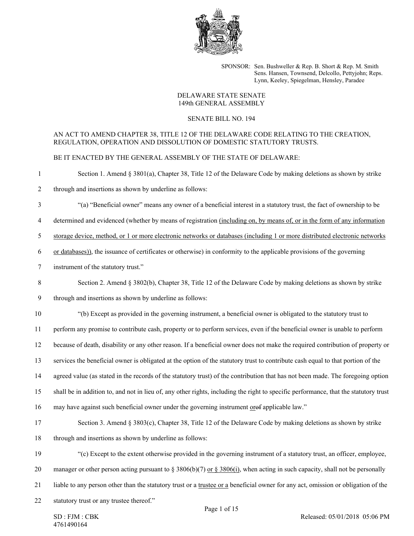

SPONSOR: Sen. Bushweller & Rep. B. Short & Rep. M. Smith Sens. Hansen, Townsend, Delcollo, Pettyjohn; Reps. Lynn, Keeley, Spiegelman, Hensley, Paradee

#### DELAWARE STATE SENATE 149th GENERAL ASSEMBLY

## SENATE BILL NO. 194

## AN ACT TO AMEND CHAPTER 38, TITLE 12 OF THE DELAWARE CODE RELATING TO THE CREATION, REGULATION, OPERATION AND DISSOLUTION OF DOMESTIC STATUTORY TRUSTS.

BE IT ENACTED BY THE GENERAL ASSEMBLY OF THE STATE OF DELAWARE:

- 1 Section 1. Amend § 3801(a), Chapter 38, Title 12 of the Delaware Code by making deletions as shown by strike
- 2 through and insertions as shown by underline as follows:
- 3 "(a) "Beneficial owner" means any owner of a beneficial interest in a statutory trust, the fact of ownership to be
- 4 determined and evidenced (whether by means of registration (including on, by means of, or in the form of any information
- 5 storage device, method, or 1 or more electronic networks or databases (including 1 or more distributed electronic networks
- 6 or databases)), the issuance of certificates or otherwise) in conformity to the applicable provisions of the governing
- 7 instrument of the statutory trust."
- 8 Section 2. Amend § 3802(b), Chapter 38, Title 12 of the Delaware Code by making deletions as shown by strike
- 9 through and insertions as shown by underline as follows:
- 10 "(b) Except as provided in the governing instrument, a beneficial owner is obligated to the statutory trust to

11 perform any promise to contribute cash, property or to perform services, even if the beneficial owner is unable to perform

- 12 because of death, disability or any other reason. If a beneficial owner does not make the required contribution of property or
- 13 services the beneficial owner is obligated at the option of the statutory trust to contribute cash equal to that portion of the
- 14 agreed value (as stated in the records of the statutory trust) of the contribution that has not been made. The foregoing option
- 15 shall be in addition to, and not in lieu of, any other rights, including the right to specific performance, that the statutory trust
- 16 may have against such beneficial owner under the governing instrument orof applicable law."
- 17 Section 3. Amend § 3803(c), Chapter 38, Title 12 of the Delaware Code by making deletions as shown by strike
- 18 through and insertions as shown by underline as follows:
- 19 "(c) Except to the extent otherwise provided in the governing instrument of a statutory trust, an officer, employee,
- 20 manager or other person acting pursuant to § 3806(b)(7) or § 3806(i), when acting in such capacity, shall not be personally
- 21 liable to any person other than the statutory trust or a trustee or a beneficial owner for any act, omission or obligation of the
- 22 statutory trust or any trustee thereof."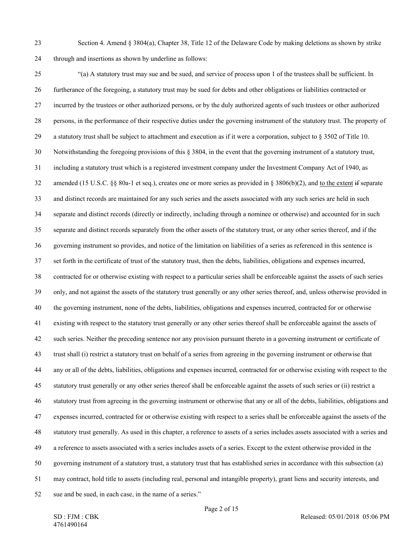23 Section 4. Amend § 3804(a), Chapter 38, Title 12 of the Delaware Code by making deletions as shown by strike 24 through and insertions as shown by underline as follows:

25 "(a) A statutory trust may sue and be sued, and service of process upon 1 of the trustees shall be sufficient. In 26 furtherance of the foregoing, a statutory trust may be sued for debts and other obligations or liabilities contracted or 27 incurred by the trustees or other authorized persons, or by the duly authorized agents of such trustees or other authorized 28 persons, in the performance of their respective duties under the governing instrument of the statutory trust. The property of 29 a statutory trust shall be subject to attachment and execution as if it were a corporation, subject to § 3502 of Title 10. 30 Notwithstanding the foregoing provisions of this § 3804, in the event that the governing instrument of a statutory trust, 31 including a statutory trust which is a registered investment company under the Investment Company Act of 1940, as 32 amended (15 U.S.C. §§ 80a-1 et seq.), creates one or more series as provided in § 3806(b)(2), and to the extent if separate 33 and distinct records are maintained for any such series and the assets associated with any such series are held in such 34 separate and distinct records (directly or indirectly, including through a nominee or otherwise) and accounted for in such 35 separate and distinct records separately from the other assets of the statutory trust, or any other series thereof, and if the 36 governing instrument so provides, and notice of the limitation on liabilities of a series as referenced in this sentence is 37 set forth in the certificate of trust of the statutory trust, then the debts, liabilities, obligations and expenses incurred, 38 contracted for or otherwise existing with respect to a particular series shall be enforceable against the assets of such series 39 only, and not against the assets of the statutory trust generally or any other series thereof, and, unless otherwise provided in 40 the governing instrument, none of the debts, liabilities, obligations and expenses incurred, contracted for or otherwise 41 existing with respect to the statutory trust generally or any other series thereof shall be enforceable against the assets of 42 such series. Neither the preceding sentence nor any provision pursuant thereto in a governing instrument or certificate of 43 trust shall (i) restrict a statutory trust on behalf of a series from agreeing in the governing instrument or otherwise that 44 any or all of the debts, liabilities, obligations and expenses incurred, contracted for or otherwise existing with respect to the 45 statutory trust generally or any other series thereof shall be enforceable against the assets of such series or (ii) restrict a 46 statutory trust from agreeing in the governing instrument or otherwise that any or all of the debts, liabilities, obligations and 47 expenses incurred, contracted for or otherwise existing with respect to a series shall be enforceable against the assets of the 48 statutory trust generally. As used in this chapter, a reference to assets of a series includes assets associated with a series and 49 a reference to assets associated with a series includes assets of a series. Except to the extent otherwise provided in the 50 governing instrument of a statutory trust, a statutory trust that has established series in accordance with this subsection (a) 51 may contract, hold title to assets (including real, personal and intangible property), grant liens and security interests, and 52 sue and be sued, in each case, in the name of a series."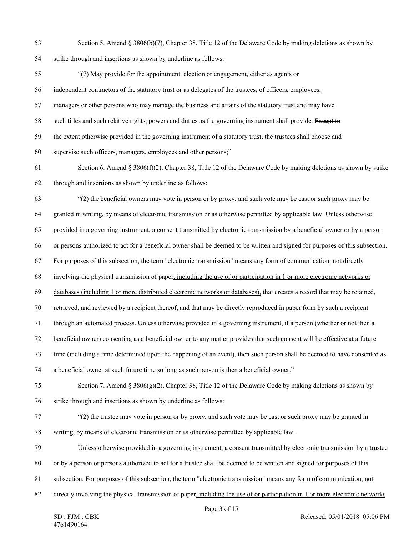53 Section 5. Amend § 3806(b)(7), Chapter 38, Title 12 of the Delaware Code by making deletions as shown by 54 strike through and insertions as shown by underline as follows:

55 "(7) May provide for the appointment, election or engagement, either as agents or

56 independent contractors of the statutory trust or as delegates of the trustees, of officers, employees,

57 managers or other persons who may manage the business and affairs of the statutory trust and may have

58 such titles and such relative rights, powers and duties as the governing instrument shall provide. Except to

59 the extent otherwise provided in the governing instrument of a statutory trust, the trustees shall choose and

60 supervise such officers, managers, employees and other persons;"

61 Section 6. Amend § 3806(f)(2), Chapter 38, Title 12 of the Delaware Code by making deletions as shown by strike 62 through and insertions as shown by underline as follows:

63 "(2) the beneficial owners may vote in person or by proxy, and such vote may be cast or such proxy may be 64 granted in writing, by means of electronic transmission or as otherwise permitted by applicable law. Unless otherwise 65 provided in a governing instrument, a consent transmitted by electronic transmission by a beneficial owner or by a person 66 or persons authorized to act for a beneficial owner shall be deemed to be written and signed for purposes of this subsection. 67 For purposes of this subsection, the term "electronic transmission" means any form of communication, not directly

68 involving the physical transmission of paper, including the use of or participation in 1 or more electronic networks or

69 databases (including 1 or more distributed electronic networks or databases), that creates a record that may be retained,

70 retrieved, and reviewed by a recipient thereof, and that may be directly reproduced in paper form by such a recipient

71 through an automated process. Unless otherwise provided in a governing instrument, if a person (whether or not then a

72 beneficial owner) consenting as a beneficial owner to any matter provides that such consent will be effective at a future

73 time (including a time determined upon the happening of an event), then such person shall be deemed to have consented as

74 a beneficial owner at such future time so long as such person is then a beneficial owner."

75 Section 7. Amend § 3806(g)(2), Chapter 38, Title 12 of the Delaware Code by making deletions as shown by 76 strike through and insertions as shown by underline as follows:

- 77 "(2) the trustee may vote in person or by proxy, and such vote may be cast or such proxy may be granted in 78 writing, by means of electronic transmission or as otherwise permitted by applicable law.
- 79 Unless otherwise provided in a governing instrument, a consent transmitted by electronic transmission by a trustee
- 80 or by a person or persons authorized to act for a trustee shall be deemed to be written and signed for purposes of this
- 81 subsection. For purposes of this subsection, the term "electronic transmission" means any form of communication, not
- 82 directly involving the physical transmission of paper, including the use of or participation in 1 or more electronic networks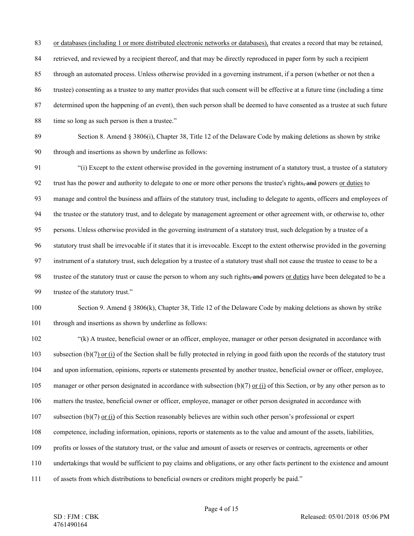83 or databases (including 1 or more distributed electronic networks or databases), that creates a record that may be retained, 84 retrieved, and reviewed by a recipient thereof, and that may be directly reproduced in paper form by such a recipient 85 through an automated process. Unless otherwise provided in a governing instrument, if a person (whether or not then a 86 trustee) consenting as a trustee to any matter provides that such consent will be effective at a future time (including a time 87 determined upon the happening of an event), then such person shall be deemed to have consented as a trustee at such future 88 time so long as such person is then a trustee."

89 Section 8. Amend § 3806(i), Chapter 38, Title 12 of the Delaware Code by making deletions as shown by strike 90 through and insertions as shown by underline as follows:

91 "(i) Except to the extent otherwise provided in the governing instrument of a statutory trust, a trustee of a statutory 92 trust has the power and authority to delegate to one or more other persons the trustee's rights, and powers or duties to 93 manage and control the business and affairs of the statutory trust, including to delegate to agents, officers and employees of 94 the trustee or the statutory trust, and to delegate by management agreement or other agreement with, or otherwise to, other 95 persons. Unless otherwise provided in the governing instrument of a statutory trust, such delegation by a trustee of a 96 statutory trust shall be irrevocable if it states that it is irrevocable. Except to the extent otherwise provided in the governing 97 instrument of a statutory trust, such delegation by a trustee of a statutory trust shall not cause the trustee to cease to be a 98 trustee of the statutory trust or cause the person to whom any such rights, and powers or duties have been delegated to be a 99 trustee of the statutory trust."

# 100 Section 9. Amend § 3806(k), Chapter 38, Title 12 of the Delaware Code by making deletions as shown by strike 101 through and insertions as shown by underline as follows:

102 "(k) A trustee, beneficial owner or an officer, employee, manager or other person designated in accordance with 103 subsection (b)(7) or (i) of the Section shall be fully protected in relying in good faith upon the records of the statutory trust 104 and upon information, opinions, reports or statements presented by another trustee, beneficial owner or officer, employee, 105 manager or other person designated in accordance with subsection (b)(7) or (i) of this Section, or by any other person as to 106 matters the trustee, beneficial owner or officer, employee, manager or other person designated in accordance with 107 subsection (b)(7) or (i) of this Section reasonably believes are within such other person's professional or expert 108 competence, including information, opinions, reports or statements as to the value and amount of the assets, liabilities, 109 profits or losses of the statutory trust, or the value and amount of assets or reserves or contracts, agreements or other 110 undertakings that would be sufficient to pay claims and obligations, or any other facts pertinent to the existence and amount 111 of assets from which distributions to beneficial owners or creditors might properly be paid."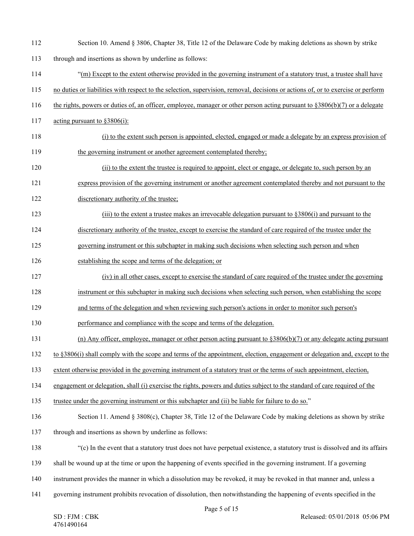| 112 | Section 10. Amend § 3806, Chapter 38, Title 12 of the Delaware Code by making deletions as shown by strike                       |
|-----|----------------------------------------------------------------------------------------------------------------------------------|
| 113 | through and insertions as shown by underline as follows:                                                                         |
| 114 | "(m) Except to the extent otherwise provided in the governing instrument of a statutory trust, a trustee shall have              |
| 115 | no duties or liabilities with respect to the selection, supervision, removal, decisions or actions of, or to exercise or perform |
| 116 | the rights, powers or duties of, an officer, employee, manager or other person acting pursuant to $\S 3806(b)(7)$ or a delegate  |
| 117 | acting pursuant to $$3806(i)$ :                                                                                                  |
| 118 | (i) to the extent such person is appointed, elected, engaged or made a delegate by an express provision of                       |
| 119 | the governing instrument or another agreement contemplated thereby;                                                              |
| 120 | (ii) to the extent the trustee is required to appoint, elect or engage, or delegate to, such person by an                        |
| 121 | express provision of the governing instrument or another agreement contemplated thereby and not pursuant to the                  |
| 122 | discretionary authority of the trustee;                                                                                          |
| 123 | (iii) to the extent a trustee makes an irrevocable delegation pursuant to $\S 3806(i)$ and pursuant to the                       |
| 124 | discretionary authority of the trustee, except to exercise the standard of care required of the trustee under the                |
| 125 | governing instrument or this subchapter in making such decisions when selecting such person and when                             |
| 126 | establishing the scope and terms of the delegation; or                                                                           |
| 127 | (iv) in all other cases, except to exercise the standard of care required of the trustee under the governing                     |
| 128 | instrument or this subchapter in making such decisions when selecting such person, when establishing the scope                   |
| 129 | and terms of the delegation and when reviewing such person's actions in order to monitor such person's                           |
| 130 | performance and compliance with the scope and terms of the delegation.                                                           |
| 131 | (n) Any officer, employee, manager or other person acting pursuant to $\S 3806(b)(7)$ or any delegate acting pursuant            |
| 132 | to §3806(i) shall comply with the scope and terms of the appointment, election, engagement or delegation and, except to the      |
| 133 | extent otherwise provided in the governing instrument of a statutory trust or the terms of such appointment, election,           |
| 134 | engagement or delegation, shall (i) exercise the rights, powers and duties subject to the standard of care required of the       |
| 135 | trustee under the governing instrument or this subchapter and (ii) be liable for failure to do so."                              |
| 136 | Section 11. Amend § 3808(c), Chapter 38, Title 12 of the Delaware Code by making deletions as shown by strike                    |
| 137 | through and insertions as shown by underline as follows:                                                                         |
| 138 | "(c) In the event that a statutory trust does not have perpetual existence, a statutory trust is dissolved and its affairs       |
| 139 | shall be wound up at the time or upon the happening of events specified in the governing instrument. If a governing              |
| 140 | instrument provides the manner in which a dissolution may be revoked, it may be revoked in that manner and, unless a             |
| 141 | governing instrument prohibits revocation of dissolution, then notwithstanding the happening of events specified in the          |
|     | Page 5 of 15                                                                                                                     |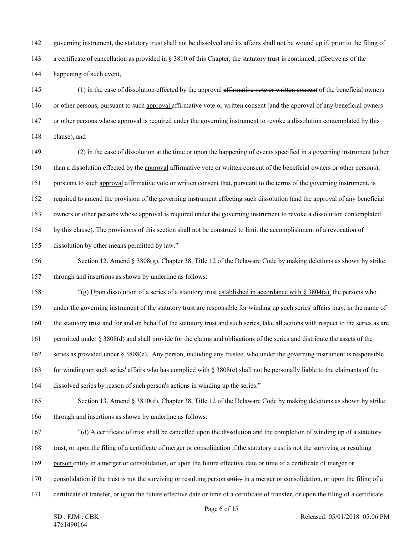142 governing instrument, the statutory trust shall not be dissolved and its affairs shall not be wound up if, prior to the filing of 143 a certificate of cancellation as provided in § 3810 of this Chapter, the statutory trust is continued, effective as of the 144 happening of such event,

145 (1) in the case of dissolution effected by the approval affirmative vote or written consent of the beneficial owners 146 or other persons, pursuant to such approval affirmative vote or written consent (and the approval of any beneficial owners 147 or other persons whose approval is required under the governing instrument to revoke a dissolution contemplated by this 148 clause), and

149 (2) in the case of dissolution at the time or upon the happening of events specified in a governing instrument (other 150 than a dissolution effected by the approval affirmative vote or written consent of the beneficial owners or other persons), 151 pursuant to such approval affirmative vote or written consent that, pursuant to the terms of the governing instrument, is

152 required to amend the provision of the governing instrument effecting such dissolution (and the approval of any beneficial

153 owners or other persons whose approval is required under the governing instrument to revoke a dissolution contemplated

154 by this clause). The provisions of this section shall not be construed to limit the accomplishment of a revocation of

155 dissolution by other means permitted by law."

156 Section 12. Amend § 3808(g), Chapter 38, Title 12 of the Delaware Code by making deletions as shown by strike 157 through and insertions as shown by underline as follows:

158 "(g) Upon dissolution of a series of a statutory trust established in accordance with  $\S 3804(a)$ , the persons who 159 under the governing instrument of the statutory trust are responsible for winding up such series' affairs may, in the name of 160 the statutory trust and for and on behalf of the statutory trust and such series, take all actions with respect to the series as are 161 permitted under § 3808(d) and shall provide for the claims and obligations of the series and distribute the assets of the

162 series as provided under § 3808(e). Any person, including any trustee, who under the governing instrument is responsible

163 for winding up such series' affairs who has complied with § 3808(e) shall not be personally liable to the claimants of the

164 dissolved series by reason of such person's actions in winding up the series."

165 Section 13. Amend § 3810(d), Chapter 38, Title 12 of the Delaware Code by making deletions as shown by strike 166 through and insertions as shown by underline as follows:

167 "(d) A certificate of trust shall be cancelled upon the dissolution and the completion of winding up of a statutory

168 trust, or upon the filing of a certificate of merger or consolidation if the statutory trust is not the surviving or resulting

169 person entity in a merger or consolidation, or upon the future effective date or time of a certificate of merger or

170 consolidation if the trust is not the surviving or resulting person entity in a merger or consolidation, or upon the filing of a

171 certificate of transfer, or upon the future effective date or time of a certificate of transfer, or upon the filing of a certificate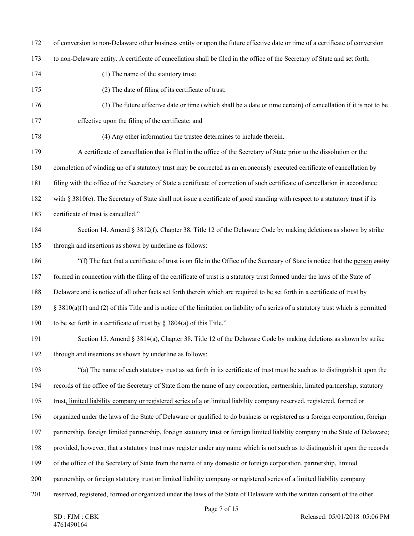172 of conversion to non-Delaware other business entity or upon the future effective date or time of a certificate of conversion

173 to non-Delaware entity. A certificate of cancellation shall be filed in the office of the Secretary of State and set forth:

- 174 (1) The name of the statutory trust;
- 175 (2) The date of filing of its certificate of trust;
- 176 (3) The future effective date or time (which shall be a date or time certain) of cancellation if it is not to be 177 effective upon the filing of the certificate; and
- 

178 (4) Any other information the trustee determines to include therein.

179 A certificate of cancellation that is filed in the office of the Secretary of State prior to the dissolution or the

180 completion of winding up of a statutory trust may be corrected as an erroneously executed certificate of cancellation by

181 filing with the office of the Secretary of State a certificate of correction of such certificate of cancellation in accordance

182 with § 3810(e). The Secretary of State shall not issue a certificate of good standing with respect to a statutory trust if its

- 183 certificate of trust is cancelled."
- 184 Section 14. Amend § 3812(f), Chapter 38, Title 12 of the Delaware Code by making deletions as shown by strike 185 through and insertions as shown by underline as follows:

186 "(f) The fact that a certificate of trust is on file in the Office of the Secretary of State is notice that the person entity

187 formed in connection with the filing of the certificate of trust is a statutory trust formed under the laws of the State of

188 Delaware and is notice of all other facts set forth therein which are required to be set forth in a certificate of trust by

189 § 3810(a)(1) and (2) of this Title and is notice of the limitation on liability of a series of a statutory trust which is permitted

190 to be set forth in a certificate of trust by § 3804(a) of this Title."

191 Section 15. Amend § 3814(a), Chapter 38, Title 12 of the Delaware Code by making deletions as shown by strike 192 through and insertions as shown by underline as follows:

193 "(a) The name of each statutory trust as set forth in its certificate of trust must be such as to distinguish it upon the 194 records of the office of the Secretary of State from the name of any corporation, partnership, limited partnership, statutory

195 trust, limited liability company or registered series of a  $\Theta$  imited liability company reserved, registered, formed or

196 organized under the laws of the State of Delaware or qualified to do business or registered as a foreign corporation, foreign

197 partnership, foreign limited partnership, foreign statutory trust or foreign limited liability company in the State of Delaware;

198 provided, however, that a statutory trust may register under any name which is not such as to distinguish it upon the records

- 199 of the office of the Secretary of State from the name of any domestic or foreign corporation, partnership, limited
- 200 partnership, or foreign statutory trust or limited liability company or registered series of a limited liability company
- 201 reserved, registered, formed or organized under the laws of the State of Delaware with the written consent of the other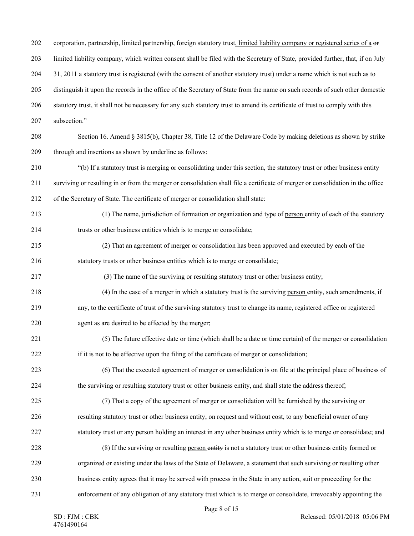202 corporation, partnership, limited partnership, foreign statutory trust, limited liability company or registered series of a or 203 limited liability company, which written consent shall be filed with the Secretary of State, provided further, that, if on July 204 31, 2011 a statutory trust is registered (with the consent of another statutory trust) under a name which is not such as to 205 distinguish it upon the records in the office of the Secretary of State from the name on such records of such other domestic 206 statutory trust, it shall not be necessary for any such statutory trust to amend its certificate of trust to comply with this 207 subsection." 208 Section 16. Amend § 3815(b), Chapter 38, Title 12 of the Delaware Code by making deletions as shown by strike 209 through and insertions as shown by underline as follows: 210 "(b) If a statutory trust is merging or consolidating under this section, the statutory trust or other business entity 211 surviving or resulting in or from the merger or consolidation shall file a certificate of merger or consolidation in the office 212 of the Secretary of State. The certificate of merger or consolidation shall state: 213 (1) The name, jurisdiction of formation or organization and type of person entity of each of the statutory 214 trusts or other business entities which is to merge or consolidate; 215 (2) That an agreement of merger or consolidation has been approved and executed by each of the 216 statutory trusts or other business entities which is to merge or consolidate; 217 (3) The name of the surviving or resulting statutory trust or other business entity; 218 (4) In the case of a merger in which a statutory trust is the surviving person entity, such amendments, if 219 any, to the certificate of trust of the surviving statutory trust to change its name, registered office or registered 220 agent as are desired to be effected by the merger; 221 (5) The future effective date or time (which shall be a date or time certain) of the merger or consolidation 222 if it is not to be effective upon the filing of the certificate of merger or consolidation; 223 (6) That the executed agreement of merger or consolidation is on file at the principal place of business of 224 the surviving or resulting statutory trust or other business entity, and shall state the address thereof; 225 (7) That a copy of the agreement of merger or consolidation will be furnished by the surviving or 226 resulting statutory trust or other business entity, on request and without cost, to any beneficial owner of any 227 statutory trust or any person holding an interest in any other business entity which is to merge or consolidate; and 228 (8) If the surviving or resulting person entity is not a statutory trust or other business entity formed or 229 organized or existing under the laws of the State of Delaware, a statement that such surviving or resulting other 230 business entity agrees that it may be served with process in the State in any action, suit or proceeding for the 231 enforcement of any obligation of any statutory trust which is to merge or consolidate, irrevocably appointing the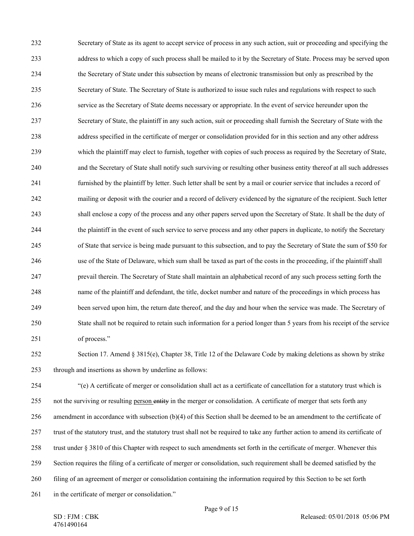232 Secretary of State as its agent to accept service of process in any such action, suit or proceeding and specifying the 233 address to which a copy of such process shall be mailed to it by the Secretary of State. Process may be served upon 234 the Secretary of State under this subsection by means of electronic transmission but only as prescribed by the 235 Secretary of State. The Secretary of State is authorized to issue such rules and regulations with respect to such 236 service as the Secretary of State deems necessary or appropriate. In the event of service hereunder upon the 237 Secretary of State, the plaintiff in any such action, suit or proceeding shall furnish the Secretary of State with the 238 address specified in the certificate of merger or consolidation provided for in this section and any other address 239 which the plaintiff may elect to furnish, together with copies of such process as required by the Secretary of State, 240 and the Secretary of State shall notify such surviving or resulting other business entity thereof at all such addresses 241 furnished by the plaintiff by letter. Such letter shall be sent by a mail or courier service that includes a record of 242 mailing or deposit with the courier and a record of delivery evidenced by the signature of the recipient. Such letter 243 shall enclose a copy of the process and any other papers served upon the Secretary of State. It shall be the duty of 244 the plaintiff in the event of such service to serve process and any other papers in duplicate, to notify the Secretary 245 of State that service is being made pursuant to this subsection, and to pay the Secretary of State the sum of \$50 for 246 use of the State of Delaware, which sum shall be taxed as part of the costs in the proceeding, if the plaintiff shall 247 prevail therein. The Secretary of State shall maintain an alphabetical record of any such process setting forth the 248 name of the plaintiff and defendant, the title, docket number and nature of the proceedings in which process has 249 been served upon him, the return date thereof, and the day and hour when the service was made. The Secretary of 250 State shall not be required to retain such information for a period longer than 5 years from his receipt of the service 251 of process."

252 Section 17. Amend § 3815(e), Chapter 38, Title 12 of the Delaware Code by making deletions as shown by strike 253 through and insertions as shown by underline as follows:

254 "(e) A certificate of merger or consolidation shall act as a certificate of cancellation for a statutory trust which is 255 not the surviving or resulting person entity in the merger or consolidation. A certificate of merger that sets forth any 256 amendment in accordance with subsection (b)(4) of this Section shall be deemed to be an amendment to the certificate of 257 trust of the statutory trust, and the statutory trust shall not be required to take any further action to amend its certificate of 258 trust under § 3810 of this Chapter with respect to such amendments set forth in the certificate of merger. Whenever this 259 Section requires the filing of a certificate of merger or consolidation, such requirement shall be deemed satisfied by the 260 filing of an agreement of merger or consolidation containing the information required by this Section to be set forth 261 in the certificate of merger or consolidation."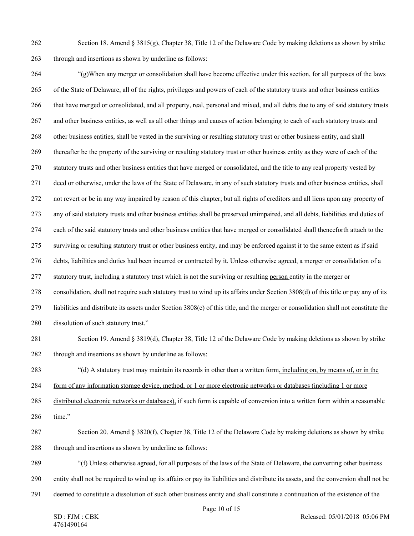262 Section 18. Amend §  $3815(g)$ , Chapter 38, Title 12 of the Delaware Code by making deletions as shown by strike 263 through and insertions as shown by underline as follows:

264 "(g)When any merger or consolidation shall have become effective under this section, for all purposes of the laws 265 of the State of Delaware, all of the rights, privileges and powers of each of the statutory trusts and other business entities 266 that have merged or consolidated, and all property, real, personal and mixed, and all debts due to any of said statutory trusts 267 and other business entities, as well as all other things and causes of action belonging to each of such statutory trusts and 268 other business entities, shall be vested in the surviving or resulting statutory trust or other business entity, and shall 269 thereafter be the property of the surviving or resulting statutory trust or other business entity as they were of each of the 270 statutory trusts and other business entities that have merged or consolidated, and the title to any real property vested by 271 deed or otherwise, under the laws of the State of Delaware, in any of such statutory trusts and other business entities, shall 272 not revert or be in any way impaired by reason of this chapter; but all rights of creditors and all liens upon any property of 273 any of said statutory trusts and other business entities shall be preserved unimpaired, and all debts, liabilities and duties of 274 each of the said statutory trusts and other business entities that have merged or consolidated shall thenceforth attach to the 275 surviving or resulting statutory trust or other business entity, and may be enforced against it to the same extent as if said 276 debts, liabilities and duties had been incurred or contracted by it. Unless otherwise agreed, a merger or consolidation of a 277 statutory trust, including a statutory trust which is not the surviving or resulting person entity in the merger or 278 consolidation, shall not require such statutory trust to wind up its affairs under Section 3808(d) of this title or pay any of its 279 liabilities and distribute its assets under Section 3808(e) of this title, and the merger or consolidation shall not constitute the 280 dissolution of such statutory trust." 281 Section 19. Amend § 3819(d), Chapter 38, Title 12 of the Delaware Code by making deletions as shown by strike 282 through and insertions as shown by underline as follows:

283 "(d) A statutory trust may maintain its records in other than a written form, including on, by means of, or in the

284 form of any information storage device, method, or 1 or more electronic networks or databases (including 1 or more

285 distributed electronic networks or databases), if such form is capable of conversion into a written form within a reasonable 286 time."

287 Section 20. Amend § 3820(f), Chapter 38, Title 12 of the Delaware Code by making deletions as shown by strike 288 through and insertions as shown by underline as follows:

289 "(f) Unless otherwise agreed, for all purposes of the laws of the State of Delaware, the converting other business 290 entity shall not be required to wind up its affairs or pay its liabilities and distribute its assets, and the conversion shall not be

291 deemed to constitute a dissolution of such other business entity and shall constitute a continuation of the existence of the

Page 10 of 15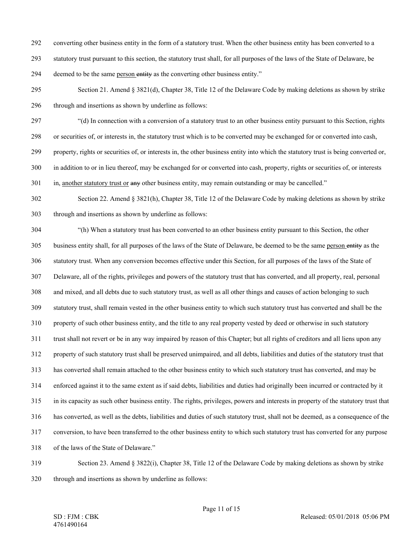- 292 converting other business entity in the form of a statutory trust. When the other business entity has been converted to a
- 293 statutory trust pursuant to this section, the statutory trust shall, for all purposes of the laws of the State of Delaware, be
- 294 deemed to be the same person entity as the converting other business entity."
- 295 Section 21. Amend § 3821(d), Chapter 38, Title 12 of the Delaware Code by making deletions as shown by strike 296 through and insertions as shown by underline as follows:
- 297 "(d) In connection with a conversion of a statutory trust to an other business entity pursuant to this Section, rights
- 298 or securities of, or interests in, the statutory trust which is to be converted may be exchanged for or converted into cash,
- 299 property, rights or securities of, or interests in, the other business entity into which the statutory trust is being converted or,
- 300 in addition to or in lieu thereof, may be exchanged for or converted into cash, property, rights or securities of, or interests
- 301 in, another statutory trust or any other business entity, may remain outstanding or may be cancelled."
- 302 Section 22. Amend § 3821(h), Chapter 38, Title 12 of the Delaware Code by making deletions as shown by strike 303 through and insertions as shown by underline as follows:
- 304 "(h) When a statutory trust has been converted to an other business entity pursuant to this Section, the other 305 business entity shall, for all purposes of the laws of the State of Delaware, be deemed to be the same person entity as the 306 statutory trust. When any conversion becomes effective under this Section, for all purposes of the laws of the State of 307 Delaware, all of the rights, privileges and powers of the statutory trust that has converted, and all property, real, personal 308 and mixed, and all debts due to such statutory trust, as well as all other things and causes of action belonging to such 309 statutory trust, shall remain vested in the other business entity to which such statutory trust has converted and shall be the 310 property of such other business entity, and the title to any real property vested by deed or otherwise in such statutory 311 trust shall not revert or be in any way impaired by reason of this Chapter; but all rights of creditors and all liens upon any 312 property of such statutory trust shall be preserved unimpaired, and all debts, liabilities and duties of the statutory trust that 313 has converted shall remain attached to the other business entity to which such statutory trust has converted, and may be 314 enforced against it to the same extent as if said debts, liabilities and duties had originally been incurred or contracted by it 315 in its capacity as such other business entity. The rights, privileges, powers and interests in property of the statutory trust that 316 has converted, as well as the debts, liabilities and duties of such statutory trust, shall not be deemed, as a consequence of the 317 conversion, to have been transferred to the other business entity to which such statutory trust has converted for any purpose 318 of the laws of the State of Delaware."
- 319 Section 23. Amend § 3822(i), Chapter 38, Title 12 of the Delaware Code by making deletions as shown by strike 320 through and insertions as shown by underline as follows: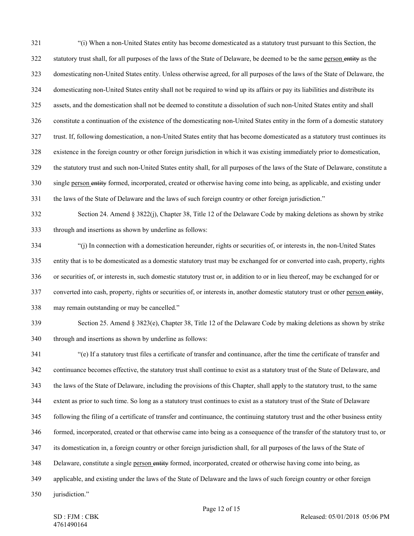321 "(i) When a non-United States entity has become domesticated as a statutory trust pursuant to this Section, the 322 statutory trust shall, for all purposes of the laws of the State of Delaware, be deemed to be the same person entity as the 323 domesticating non-United States entity. Unless otherwise agreed, for all purposes of the laws of the State of Delaware, the 324 domesticating non-United States entity shall not be required to wind up its affairs or pay its liabilities and distribute its 325 assets, and the domestication shall not be deemed to constitute a dissolution of such non-United States entity and shall 326 constitute a continuation of the existence of the domesticating non-United States entity in the form of a domestic statutory 327 trust. If, following domestication, a non-United States entity that has become domesticated as a statutory trust continues its 328 existence in the foreign country or other foreign jurisdiction in which it was existing immediately prior to domestication, 329 the statutory trust and such non-United States entity shall, for all purposes of the laws of the State of Delaware, constitute a 330 single person entity formed, incorporated, created or otherwise having come into being, as applicable, and existing under 331 the laws of the State of Delaware and the laws of such foreign country or other foreign jurisdiction." 332 Section 24. Amend § 3822(j), Chapter 38, Title 12 of the Delaware Code by making deletions as shown by strike 333 through and insertions as shown by underline as follows:

334 "(j) In connection with a domestication hereunder, rights or securities of, or interests in, the non-United States 335 entity that is to be domesticated as a domestic statutory trust may be exchanged for or converted into cash, property, rights 336 or securities of, or interests in, such domestic statutory trust or, in addition to or in lieu thereof, may be exchanged for or 337 converted into cash, property, rights or securities of, or interests in, another domestic statutory trust or other person entity, 338 may remain outstanding or may be cancelled."

339 Section 25. Amend § 3823(e), Chapter 38, Title 12 of the Delaware Code by making deletions as shown by strike 340 through and insertions as shown by underline as follows:

341 "(e) If a statutory trust files a certificate of transfer and continuance, after the time the certificate of transfer and 342 continuance becomes effective, the statutory trust shall continue to exist as a statutory trust of the State of Delaware, and 343 the laws of the State of Delaware, including the provisions of this Chapter, shall apply to the statutory trust, to the same 344 extent as prior to such time. So long as a statutory trust continues to exist as a statutory trust of the State of Delaware 345 following the filing of a certificate of transfer and continuance, the continuing statutory trust and the other business entity 346 formed, incorporated, created or that otherwise came into being as a consequence of the transfer of the statutory trust to, or 347 its domestication in, a foreign country or other foreign jurisdiction shall, for all purposes of the laws of the State of 348 Delaware, constitute a single person entity formed, incorporated, created or otherwise having come into being, as 349 applicable, and existing under the laws of the State of Delaware and the laws of such foreign country or other foreign

350 jurisdiction."

SD : FJM : CBK 4761490164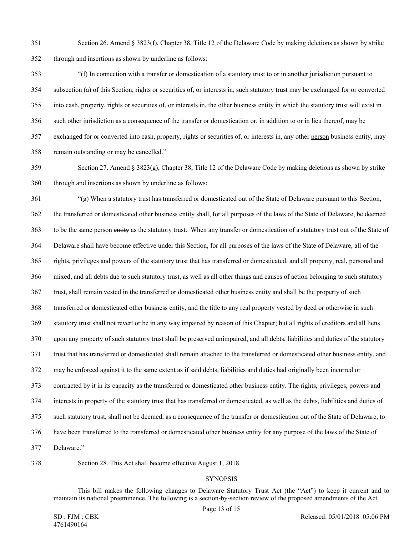351 Section 26. Amend § 3823(f), Chapter 38, Title 12 of the Delaware Code by making deletions as shown by strike 352 through and insertions as shown by underline as follows:

353 "(f) In connection with a transfer or domestication of a statutory trust to or in another jurisdiction pursuant to 354 subsection (a) of this Section, rights or securities of, or interests in, such statutory trust may be exchanged for or converted 355 into cash, property, rights or securities of, or interests in, the other business entity in which the statutory trust will exist in 356 such other jurisdiction as a consequence of the transfer or domestication or, in addition to or in lieu thereof, may be 357 exchanged for or converted into cash, property, rights or securities of, or interests in, any other person business entity, may 358 remain outstanding or may be cancelled."

359 Section 27. Amend § 3823(g), Chapter 38, Title 12 of the Delaware Code by making deletions as shown by strike 360 through and insertions as shown by underline as follows:

361 "(g) When a statutory trust has transferred or domesticated out of the State of Delaware pursuant to this Section, 362 the transferred or domesticated other business entity shall, for all purposes of the laws of the State of Delaware, be deemed 363 to be the same person entity as the statutory trust. When any transfer or domestication of a statutory trust out of the State of 364 Delaware shall have become effective under this Section, for all purposes of the laws of the State of Delaware, all of the 365 rights, privileges and powers of the statutory trust that has transferred or domesticated, and all property, real, personal and 366 mixed, and all debts due to such statutory trust, as well as all other things and causes of action belonging to such statutory 367 trust, shall remain vested in the transferred or domesticated other business entity and shall be the property of such 368 transferred or domesticated other business entity, and the title to any real property vested by deed or otherwise in such 369 statutory trust shall not revert or be in any way impaired by reason of this Chapter; but all rights of creditors and all liens 370 upon any property of such statutory trust shall be preserved unimpaired, and all debts, liabilities and duties of the statutory 371 trust that has transferred or domesticated shall remain attached to the transferred or domesticated other business entity, and 372 may be enforced against it to the same extent as if said debts, liabilities and duties had originally been incurred or 373 contracted by it in its capacity as the transferred or domesticated other business entity. The rights, privileges, powers and 374 interests in property of the statutory trust that has transferred or domesticated, as well as the debts, liabilities and duties of 375 such statutory trust, shall not be deemed, as a consequence of the transfer or domestication out of the State of Delaware, to 376 have been transferred to the transferred or domesticated other business entity for any purpose of the laws of the State of 377 Delaware."

378 Section 28. This Act shall become effective August 1, 2018.

## **SYNOPSIS**

This bill makes the following changes to Delaware Statutory Trust Act (the "Act") to keep it current and to maintain its national preeminence. The following is a section-by-section review of the proposed amendments of the Act.

Page 13 of 15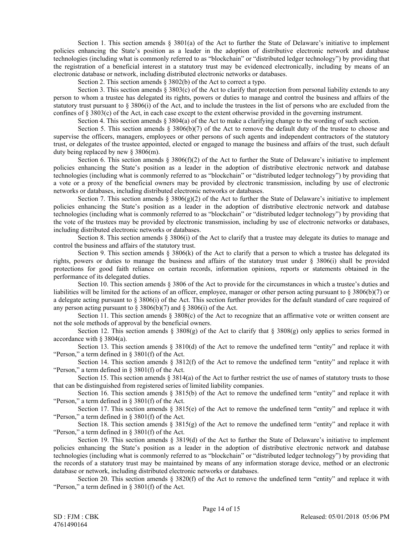Section 1. This section amends  $\S$  3801(a) of the Act to further the State of Delaware's initiative to implement policies enhancing the State's position as a leader in the adoption of distributive electronic network and database technologies (including what is commonly referred to as "blockchain" or "distributed ledger technology") by providing that the registration of a beneficial interest in a statutory trust may be evidenced electronically, including by means of an electronic database or network, including distributed electronic networks or databases.

Section 2. This section amends § 3802(b) of the Act to correct a typo.

Section 3. This section amends  $\S 3803(c)$  of the Act to clarify that protection from personal liability extends to any person to whom a trustee has delegated its rights, powers or duties to manage and control the business and affairs of the statutory trust pursuant to § 3806(i) of the Act, and to include the trustees in the list of persons who are excluded from the confines of § 3803(c) of the Act, in each case except to the extent otherwise provided in the governing instrument.

Section 4. This section amends § 3804(a) of the Act to make a clarifying change to the wording of such section.

Section 5. This section amends  $\S$  3806(b)(7) of the Act to remove the default duty of the trustee to choose and supervise the officers, managers, employees or other persons of such agents and independent contractors of the statutory trust, or delegates of the trustee appointed, elected or engaged to manage the business and affairs of the trust, such default duty being replaced by new § 3806(m).

Section 6. This section amends § 3806(f)(2) of the Act to further the State of Delaware's initiative to implement policies enhancing the State's position as a leader in the adoption of distributive electronic network and database technologies (including what is commonly referred to as "blockchain" or "distributed ledger technology") by providing that a vote or a proxy of the beneficial owners may be provided by electronic transmission, including by use of electronic networks or databases, including distributed electronic networks or databases.

Section 7. This section amends § 3806(g)(2) of the Act to further the State of Delaware's initiative to implement policies enhancing the State's position as a leader in the adoption of distributive electronic network and database technologies (including what is commonly referred to as "blockchain" or "distributed ledger technology") by providing that the vote of the trustees may be provided by electronic transmission, including by use of electronic networks or databases, including distributed electronic networks or databases.

Section 8. This section amends § 3806(i) of the Act to clarify that a trustee may delegate its duties to manage and control the business and affairs of the statutory trust.

Section 9. This section amends § 3806(k) of the Act to clarify that a person to which a trustee has delegated its rights, powers or duties to manage the business and affairs of the statutory trust under  $\S$  3806(i) shall be provided protections for good faith reliance on certain records, information opinions, reports or statements obtained in the performance of its delegated duties.

Section 10. This section amends § 3806 of the Act to provide for the circumstances in which a trustee's duties and liabilities will be limited for the actions of an officer, employee, manager or other person acting pursuant to § 3806(b)(7) or a delegate acting pursuant to  $\S 3806(i)$  of the Act. This section further provides for the default standard of care required of any person acting pursuant to  $\S 3806(b)(7)$  and  $\S 3806(i)$  of the Act.

Section 11. This section amends § 3808(c) of the Act to recognize that an affirmative vote or written consent are not the sole methods of approval by the beneficial owners.

Section 12. This section amends § 3808(g) of the Act to clarify that § 3808(g) only applies to series formed in accordance with § 3804(a).

Section 13. This section amends  $\S 3810(d)$  of the Act to remove the undefined term "entity" and replace it with "Person," a term defined in § 3801(f) of the Act.

Section 14. This section amends  $\S 3812(f)$  of the Act to remove the undefined term "entity" and replace it with "Person," a term defined in  $\S$  3801(f) of the Act.

Section 15. This section amends § 3814(a) of the Act to further restrict the use of names of statutory trusts to those that can be distinguished from registered series of limited liability companies.

Section 16. This section amends § 3815(b) of the Act to remove the undefined term "entity" and replace it with "Person," a term defined in § 3801(f) of the Act.

Section 17. This section amends § 3815(e) of the Act to remove the undefined term "entity" and replace it with "Person," a term defined in § 3801(f) of the Act.

Section 18. This section amends § 3815(g) of the Act to remove the undefined term "entity" and replace it with "Person," a term defined in § 3801(f) of the Act.

Section 19. This section amends  $\S 3819(d)$  of the Act to further the State of Delaware's initiative to implement policies enhancing the State's position as a leader in the adoption of distributive electronic network and database technologies (including what is commonly referred to as "blockchain" or "distributed ledger technology") by providing that the records of a statutory trust may be maintained by means of any information storage device, method or an electronic database or network, including distributed electronic networks or databases.

Section 20. This section amends  $\S 3820(f)$  of the Act to remove the undefined term "entity" and replace it with "Person," a term defined in  $\S$  3801(f) of the Act.